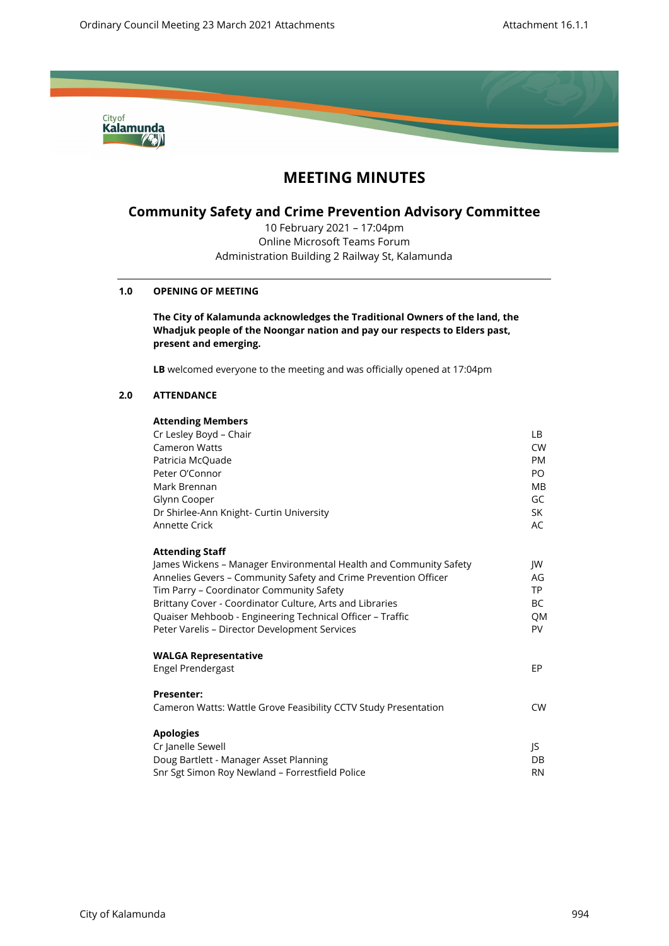

# **MEETING MINUTES**

## **Community Safety and Crime Prevention Advisory Committee**

10 February 2021 – 17:04pm Online Microsoft Teams Forum Administration Building 2 Railway St, Kalamunda

## **1.0 OPENING OF MEETING**

**The City of Kalamunda acknowledges the Traditional Owners of the land, the Whadjuk people of the Noongar nation and pay our respects to Elders past, present and emerging.**

**LB** welcomed everyone to the meeting and was officially opened at 17:04pm

## **2.0 ATTENDANCE**

## **Attending Members**

| LB.       |
|-----------|
| CW.       |
| <b>PM</b> |
| PO.       |
| MВ        |
| GC        |
| SK        |
| AC        |
|           |
| JW        |
| AG        |
| <b>TP</b> |
| BC.       |
| QM        |
| <b>PV</b> |
|           |
| EP.       |
|           |
| <b>CW</b> |
|           |
|           |
| DB        |
| <b>RN</b> |
| IS.       |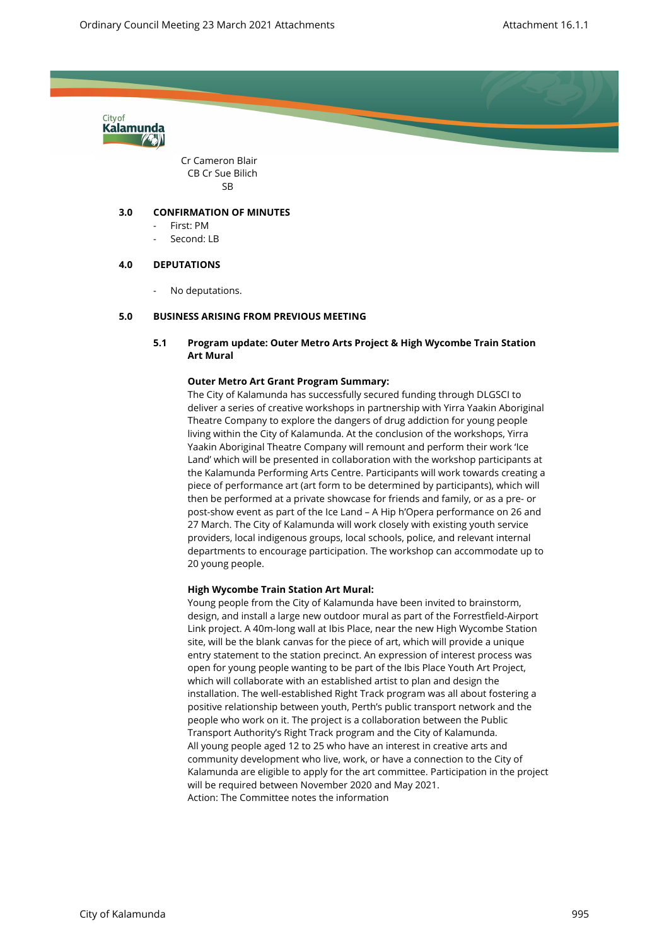

Cr Cameron Blair CB Cr Sue Bilich SB

## **3.0 CONFIRMATION OF MINUTES**

- First: PM
- Second: LB

## **4.0 DEPUTATIONS**

No deputations.

## **5.0 BUSINESS ARISING FROM PREVIOUS MEETING**

## **5.1 Program update: Outer Metro Arts Project & High Wycombe Train Station Art Mural**

## **Outer Metro Art Grant Program Summary:**

The City of Kalamunda has successfully secured funding through DLGSCI to deliver a series of creative workshops in partnership with Yirra Yaakin Aboriginal Theatre Company to explore the dangers of drug addiction for young people living within the City of Kalamunda. At the conclusion of the workshops, Yirra Yaakin Aboriginal Theatre Company will remount and perform their work 'Ice Land' which will be presented in collaboration with the workshop participants at the Kalamunda Performing Arts Centre. Participants will work towards creating a piece of performance art (art form to be determined by participants), which will then be performed at a private showcase for friends and family, or as a pre- or post-show event as part of the Ice Land – A Hip h'Opera performance on 26 and 27 March. The City of Kalamunda will work closely with existing youth service providers, local indigenous groups, local schools, police, and relevant internal departments to encourage participation. The workshop can accommodate up to 20 young people.

#### **High Wycombe Train Station Art Mural:**

Young people from the City of Kalamunda have been invited to brainstorm, design, and install a large new outdoor mural as part of the Forrestfield-Airport Link project. A 40m-long wall at Ibis Place, near the new High Wycombe Station site, will be the blank canvas for the piece of art, which will provide a unique entry statement to the station precinct. An expression of interest process was open for young people wanting to be part of the Ibis Place Youth Art Project, which will collaborate with an established artist to plan and design the installation. The well-established Right Track program was all about fostering a positive relationship between youth, Perth's public transport network and the people who work on it. The project is a collaboration between the Public Transport Authority's Right Track program and the City of Kalamunda. All young people aged 12 to 25 who have an interest in creative arts and community development who live, work, or have a connection to the City of Kalamunda are eligible to apply for the art committee. Participation in the project will be required between November 2020 and May 2021. Action: The Committee notes the information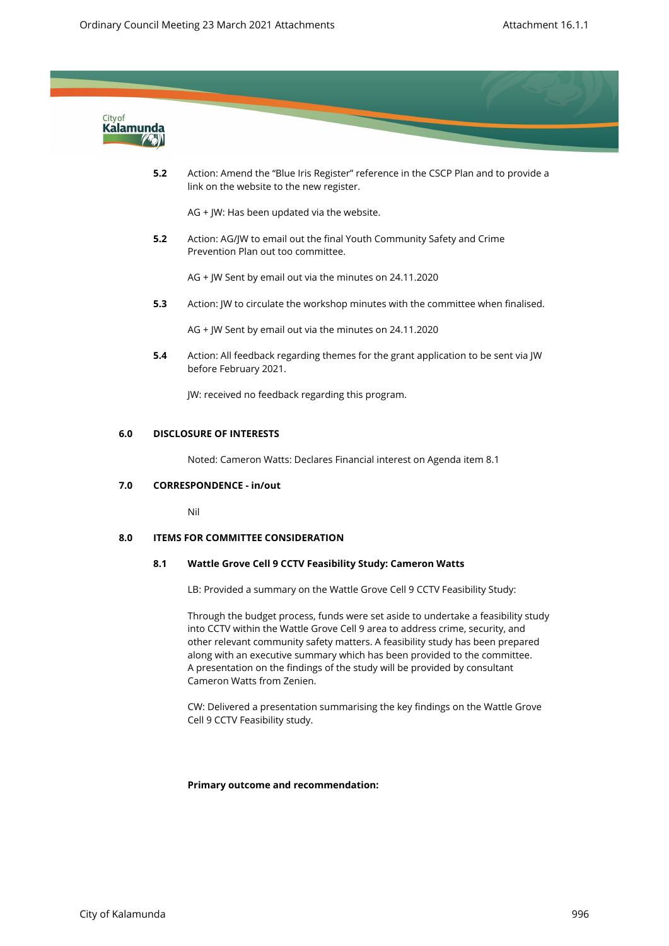

**5.2** Action: Amend the "Blue Iris Register" reference in the CSCP Plan and to provide a link on the website to the new register.

AG + JW: Has been updated via the website.

**5.2** Action: AG/JW to email out the final Youth Community Safety and Crime Prevention Plan out too committee.

AG + JW Sent by email out via the minutes on 24.11.2020

**5.3** Action: JW to circulate the workshop minutes with the committee when finalised.

AG + JW Sent by email out via the minutes on 24.11.2020

**5.4** Action: All feedback regarding themes for the grant application to be sent via JW before February 2021.

JW: received no feedback regarding this program.

#### **6.0 DISCLOSURE OF INTERESTS**

Noted: Cameron Watts: Declares Financial interest on Agenda item 8.1

#### **7.0 CORRESPONDENCE - in/out**

Nil

## **8.0 ITEMS FOR COMMITTEE CONSIDERATION**

#### **8.1 Wattle Grove Cell 9 CCTV Feasibility Study: Cameron Watts**

LB: Provided a summary on the Wattle Grove Cell 9 CCTV Feasibility Study:

Through the budget process, funds were set aside to undertake a feasibility study into CCTV within the Wattle Grove Cell 9 area to address crime, security, and other relevant community safety matters. A feasibility study has been prepared along with an executive summary which has been provided to the committee. A presentation on the findings of the study will be provided by consultant Cameron Watts from Zenien.

CW: Delivered a presentation summarising the key findings on the Wattle Grove Cell 9 CCTV Feasibility study.

#### **Primary outcome and recommendation:**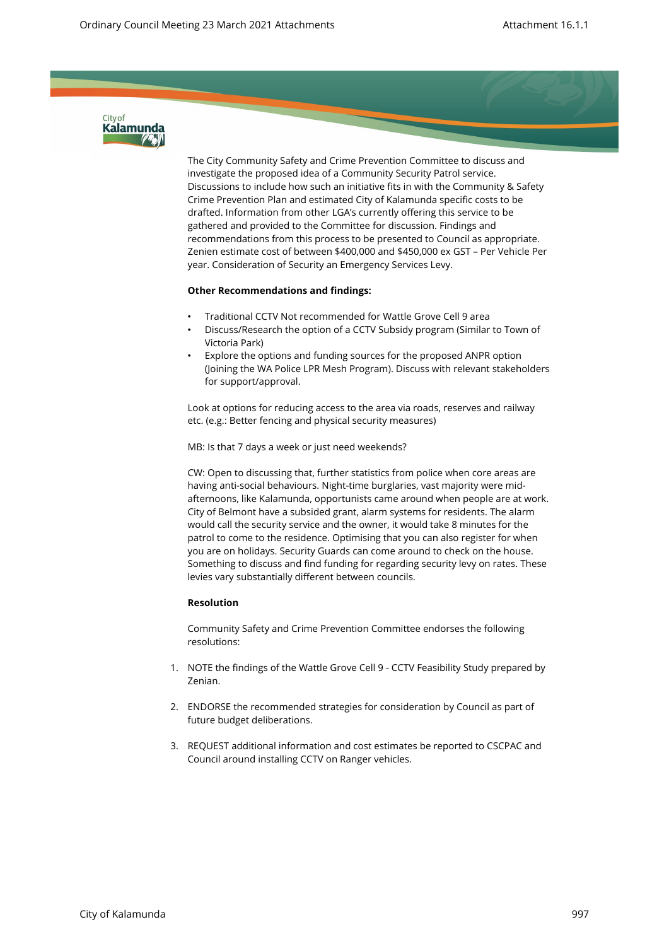

The City Community Safety and Crime Prevention Committee to discuss and investigate the proposed idea of a Community Security Patrol service. Discussions to include how such an initiative fits in with the Community & Safety Crime Prevention Plan and estimated City of Kalamunda specific costs to be drafted. Information from other LGA's currently offering this service to be gathered and provided to the Committee for discussion. Findings and recommendations from this process to be presented to Council as appropriate. Zenien estimate cost of between \$400,000 and \$450,000 ex GST – Per Vehicle Per year. Consideration of Security an Emergency Services Levy.

## **Other Recommendations and findings:**

- Traditional CCTV Not recommended for Wattle Grove Cell 9 area
- Discuss/Research the option of a CCTV Subsidy program (Similar to Town of Victoria Park)
- Explore the options and funding sources for the proposed ANPR option (Joining the WA Police LPR Mesh Program). Discuss with relevant stakeholders for support/approval.

Look at options for reducing access to the area via roads, reserves and railway etc. (e.g.: Better fencing and physical security measures)

MB: Is that 7 days a week or just need weekends?

CW: Open to discussing that, further statistics from police when core areas are having anti-social behaviours. Night-time burglaries, vast majority were midafternoons, like Kalamunda, opportunists came around when people are at work. City of Belmont have a subsided grant, alarm systems for residents. The alarm would call the security service and the owner, it would take 8 minutes for the patrol to come to the residence. Optimising that you can also register for when you are on holidays. Security Guards can come around to check on the house. Something to discuss and find funding for regarding security levy on rates. These levies vary substantially different between councils.

#### **Resolution**

Community Safety and Crime Prevention Committee endorses the following resolutions:

- 1. NOTE the findings of the Wattle Grove Cell 9 CCTV Feasibility Study prepared by Zenian.
- 2. ENDORSE the recommended strategies for consideration by Council as part of future budget deliberations.
- 3. REQUEST additional information and cost estimates be reported to CSCPAC and Council around installing CCTV on Ranger vehicles.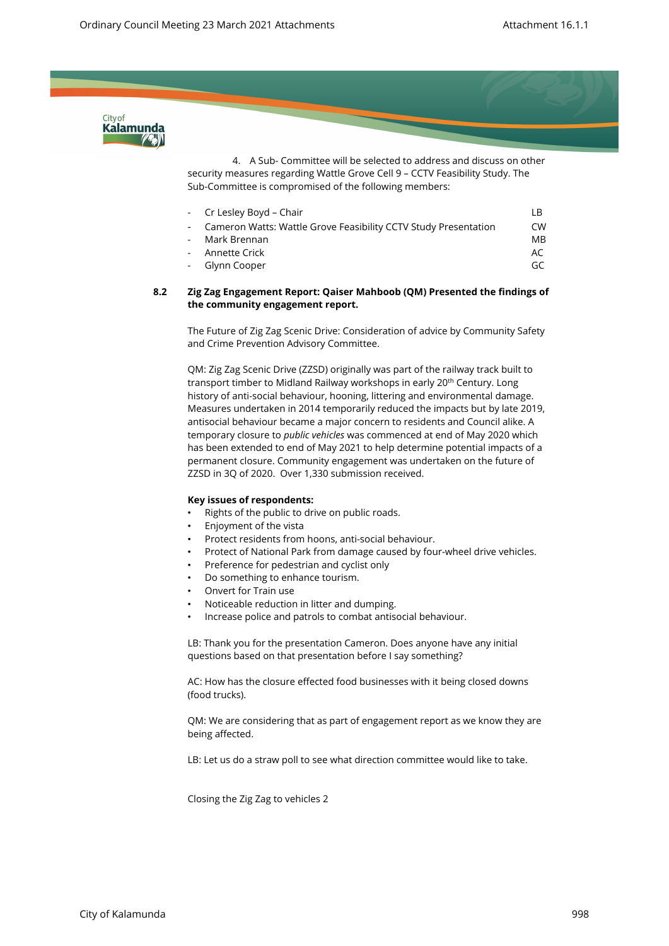

4. A Sub- Committee will be selected to address and discuss on other security measures regarding Wattle Grove Cell 9 – CCTV Feasibility Study. The Sub-Committee is compromised of the following members:

| - Cr Lesley Boyd - Chair                                          | I R            |
|-------------------------------------------------------------------|----------------|
| - Cameron Watts: Wattle Grove Feasibility CCTV Study Presentation | CW             |
| - Mark Brennan                                                    | M <sub>B</sub> |
| - Annette Crick                                                   | AC             |
| - Glynn Cooper                                                    | GC             |
|                                                                   |                |

#### **8.2 Zig Zag Engagement Report: Qaiser Mahboob (QM) Presented the findings of the community engagement report.**

The Future of Zig Zag Scenic Drive: Consideration of advice by Community Safety and Crime Prevention Advisory Committee.

QM: Zig Zag Scenic Drive (ZZSD) originally was part of the railway track built to transport timber to Midland Railway workshops in early 20<sup>th</sup> Century. Long history of anti-social behaviour, hooning, littering and environmental damage. Measures undertaken in 2014 temporarily reduced the impacts but by late 2019, antisocial behaviour became a major concern to residents and Council alike. A temporary closure to *public vehicles* was commenced at end of May 2020 which has been extended to end of May 2021 to help determine potential impacts of a permanent closure. Community engagement was undertaken on the future of ZZSD in 3Q of 2020. Over 1,330 submission received.

#### **Key issues of respondents:**

- Rights of the public to drive on public roads.
- Enjoyment of the vista
- Protect residents from hoons, anti-social behaviour.
- Protect of National Park from damage caused by four-wheel drive vehicles.
- Preference for pedestrian and cyclist only
- Do something to enhance tourism.
- Onvert for Train use
- Noticeable reduction in litter and dumping.
- Increase police and patrols to combat antisocial behaviour.

LB: Thank you for the presentation Cameron. Does anyone have any initial questions based on that presentation before I say something?

AC: How has the closure effected food businesses with it being closed downs (food trucks).

QM: We are considering that as part of engagement report as we know they are being affected.

LB: Let us do a straw poll to see what direction committee would like to take.

Closing the Zig Zag to vehicles 2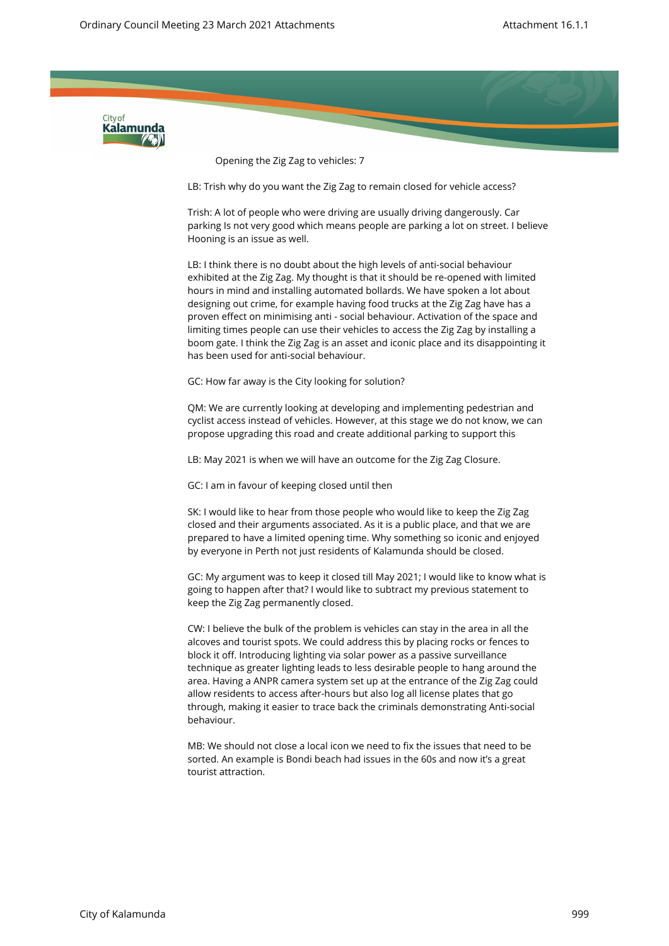

Opening the Zig Zag to vehicles: 7

LB: Trish why do you want the Zig Zag to remain closed for vehicle access?

Trish: A lot of people who were driving are usually driving dangerously. Car parking Is not very good which means people are parking a lot on street. I believe Hooning is an issue as well.

LB: I think there is no doubt about the high levels of anti-social behaviour exhibited at the Zig Zag. My thought is that it should be re-opened with limited hours in mind and installing automated bollards. We have spoken a lot about designing out crime, for example having food trucks at the Zig Zag have has a proven effect on minimising anti - social behaviour. Activation of the space and limiting times people can use their vehicles to access the Zig Zag by installing a boom gate. I think the Zig Zag is an asset and iconic place and its disappointing it has been used for anti-social behaviour.

GC: How far away is the City looking for solution?

QM: We are currently looking at developing and implementing pedestrian and cyclist access instead of vehicles. However, at this stage we do not know, we can propose upgrading this road and create additional parking to support this

LB: May 2021 is when we will have an outcome for the Zig Zag Closure.

GC: I am in favour of keeping closed until then

SK: I would like to hear from those people who would like to keep the Zig Zag closed and their arguments associated. As it is a public place, and that we are prepared to have a limited opening time. Why something so iconic and enjoyed by everyone in Perth not just residents of Kalamunda should be closed.

GC: My argument was to keep it closed till May 2021; I would like to know what is going to happen after that? I would like to subtract my previous statement to keep the Zig Zag permanently closed.

CW: I believe the bulk of the problem is vehicles can stay in the area in all the alcoves and tourist spots. We could address this by placing rocks or fences to block it off. Introducing lighting via solar power as a passive surveillance technique as greater lighting leads to less desirable people to hang around the area. Having a ANPR camera system set up at the entrance of the Zig Zag could allow residents to access after-hours but also log all license plates that go through, making it easier to trace back the criminals demonstrating Anti-social behaviour.

MB: We should not close a local icon we need to fix the issues that need to be sorted. An example is Bondi beach had issues in the 60s and now it's a great tourist attraction.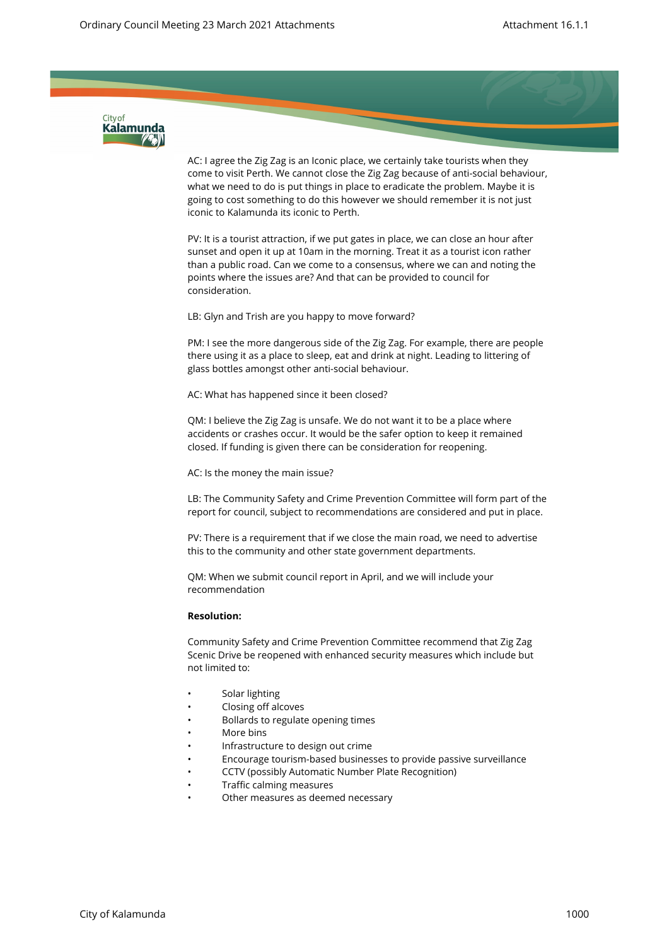

AC: I agree the Zig Zag is an Iconic place, we certainly take tourists when they come to visit Perth. We cannot close the Zig Zag because of anti-social behaviour, what we need to do is put things in place to eradicate the problem. Maybe it is going to cost something to do this however we should remember it is not just iconic to Kalamunda its iconic to Perth.

PV: It is a tourist attraction, if we put gates in place, we can close an hour after sunset and open it up at 10am in the morning. Treat it as a tourist icon rather than a public road. Can we come to a consensus, where we can and noting the points where the issues are? And that can be provided to council for consideration.

LB: Glyn and Trish are you happy to move forward?

PM: I see the more dangerous side of the Zig Zag. For example, there are people there using it as a place to sleep, eat and drink at night. Leading to littering of glass bottles amongst other anti-social behaviour.

AC: What has happened since it been closed?

QM: I believe the Zig Zag is unsafe. We do not want it to be a place where accidents or crashes occur. It would be the safer option to keep it remained closed. If funding is given there can be consideration for reopening.

AC: Is the money the main issue?

LB: The Community Safety and Crime Prevention Committee will form part of the report for council, subject to recommendations are considered and put in place.

PV: There is a requirement that if we close the main road, we need to advertise this to the community and other state government departments.

QM: When we submit council report in April, and we will include your recommendation

#### **Resolution:**

Community Safety and Crime Prevention Committee recommend that Zig Zag Scenic Drive be reopened with enhanced security measures which include but not limited to:

- Solar lighting
- Closing off alcoves
- Bollards to regulate opening times
- More bins
- Infrastructure to design out crime
- Encourage tourism-based businesses to provide passive surveillance
- CCTV (possibly Automatic Number Plate Recognition)
- Traffic calming measures
- Other measures as deemed necessary